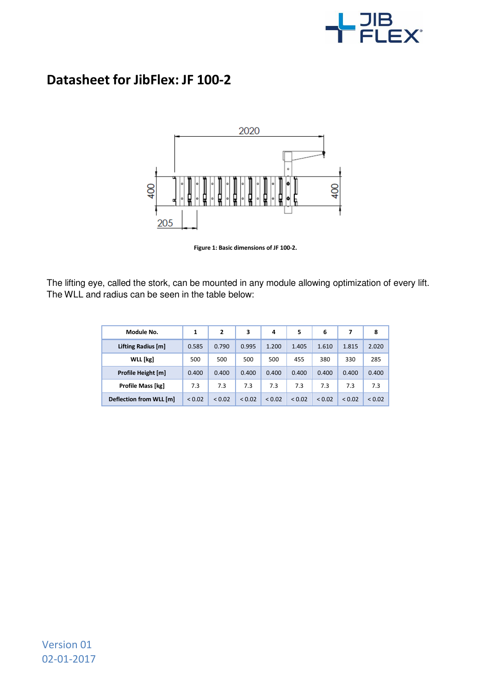

## **Datasheet for JibFlex: JF 100-2**



**Figure 1: Basic dimensions of JF 100-2.**

The lifting eye, called the stork, can be mounted in any module allowing optimization of every lift. The WLL and radius can be seen in the table below:

| Module No.              | 1           | $\overline{2}$ | 3           | 4           | 5           | 6           | 7           | 8           |
|-------------------------|-------------|----------------|-------------|-------------|-------------|-------------|-------------|-------------|
| Lifting Radius [m]      | 0.585       | 0.790          | 0.995       | 1.200       | 1.405       | 1.610       | 1.815       | 2.020       |
| WLL [kg]                | 500         | 500            | 500         | 500         | 455         | 380         | 330         | 285         |
| Profile Height [m]      | 0.400       | 0.400          | 0.400       | 0.400       | 0.400       | 0.400       | 0.400       | 0.400       |
| Profile Mass [kg]       | 7.3         | 7.3            | 7.3         | 7.3         | 7.3         | 7.3         | 7.3         | 7.3         |
| Deflection from WLL [m] | ${}_{0.02}$ | < 0.02         | ${}_{0.02}$ | ${}_{0.02}$ | ${}_{0.02}$ | ${}_{0.02}$ | ${}_{0.02}$ | ${}_{0.02}$ |